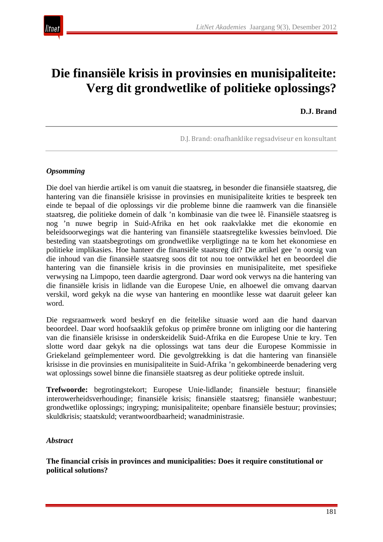

# **Die finansiële krisis in provinsies en munisipaliteite: Verg dit grondwetlike of politieke oplossings?**

**D.J. Brand**

D.J. Brand: onafhanklike regsadviseur en konsultant

#### *Opsomming*

Die doel van hierdie artikel is om vanuit die staatsreg, in besonder die finansiële staatsreg, die hantering van die finansiële krisisse in provinsies en munisipaliteite krities te bespreek ten einde te bepaal of die oplossings vir die probleme binne die raamwerk van die finansiële staatsreg, die politieke domein of dalk 'n kombinasie van die twee lê. Finansiële staatsreg is nog 'n nuwe begrip in Suid-Afrika en het ook raakvlakke met die ekonomie en beleidsoorwegings wat die hantering van finansiële staatsregtelike kwessies beïnvloed. Die besteding van staatsbegrotings om grondwetlike verpligtinge na te kom het ekonomiese en politieke implikasies. Hoe hanteer die finansiële staatsreg dit? Die artikel gee 'n oorsig van die inhoud van die finansiële staatsreg soos dit tot nou toe ontwikkel het en beoordeel die hantering van die finansiële krisis in die provinsies en munisipaliteite, met spesifieke verwysing na Limpopo, teen daardie agtergrond. Daar word ook verwys na die hantering van die finansiële krisis in lidlande van die Europese Unie, en alhoewel die omvang daarvan verskil, word gekyk na die wyse van hantering en moontlike lesse wat daaruit geleer kan word.

Die regsraamwerk word beskryf en die feitelike situasie word aan die hand daarvan beoordeel. Daar word hoofsaaklik gefokus op primêre bronne om inligting oor die hantering van die finansiële krisisse in onderskeidelik Suid-Afrika en die Europese Unie te kry. Ten slotte word daar gekyk na die oplossings wat tans deur die Europese Kommissie in Griekeland geïmplementeer word. Die gevolgtrekking is dat die hantering van finansiële krisisse in die provinsies en munisipaliteite in Suid-Afrika 'n gekombineerde benadering verg wat oplossings sowel binne die finansiële staatsreg as deur politieke optrede insluit.

**Trefwoorde:** begrotingstekort; Europese Unie-lidlande; finansiële bestuur; finansiële interowerheidsverhoudinge; finansiële krisis; finansiële staatsreg; finansiële wanbestuur; grondwetlike oplossings; ingryping; munisipaliteite; openbare finansiële bestuur; provinsies; skuldkrisis; staatskuld; verantwoordbaarheid; wanadministrasie.

#### *Abstract*

**The financial crisis in provinces and municipalities: Does it require constitutional or political solutions?**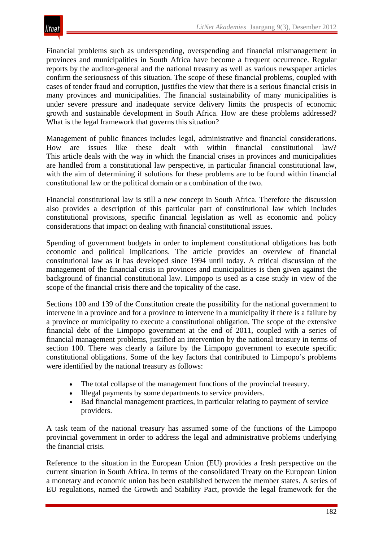Financial problems such as underspending, overspending and financial mismanagement in provinces and municipalities in South Africa have become a frequent occurrence. Regular reports by the auditor-general and the national treasury as well as various newspaper articles confirm the seriousness of this situation. The scope of these financial problems, coupled with cases of tender fraud and corruption, justifies the view that there is a serious financial crisis in many provinces and municipalities. The financial sustainability of many municipalities is under severe pressure and inadequate service delivery limits the prospects of economic growth and sustainable development in South Africa. How are these problems addressed? What is the legal framework that governs this situation?

Management of public finances includes legal, administrative and financial considerations. How are issues like these dealt with within financial constitutional law? This article deals with the way in which the financial crises in provinces and municipalities are handled from a constitutional law perspective, in particular financial constitutional law, with the aim of determining if solutions for these problems are to be found within financial constitutional law or the political domain or a combination of the two.

Financial constitutional law is still a new concept in South Africa. Therefore the discussion also provides a description of this particular part of constitutional law which includes constitutional provisions, specific financial legislation as well as economic and policy considerations that impact on dealing with financial constitutional issues.

Spending of government budgets in order to implement constitutional obligations has both economic and political implications. The article provides an overview of financial constitutional law as it has developed since 1994 until today. A critical discussion of the management of the financial crisis in provinces and municipalities is then given against the background of financial constitutional law. Limpopo is used as a case study in view of the scope of the financial crisis there and the topicality of the case.

Sections 100 and 139 of the Constitution create the possibility for the national government to intervene in a province and for a province to intervene in a municipality if there is a failure by a province or municipality to execute a constitutional obligation. The scope of the extensive financial debt of the Limpopo government at the end of 2011, coupled with a series of financial management problems, justified an intervention by the national treasury in terms of section 100. There was clearly a failure by the Limpopo government to execute specific constitutional obligations. Some of the key factors that contributed to Limpopo's problems were identified by the national treasury as follows:

- The total collapse of the management functions of the provincial treasury.
- Illegal payments by some departments to service providers.
- Bad financial management practices, in particular relating to payment of service providers.

A task team of the national treasury has assumed some of the functions of the Limpopo provincial government in order to address the legal and administrative problems underlying the financial crisis.

Reference to the situation in the European Union (EU) provides a fresh perspective on the current situation in South Africa. In terms of the consolidated Treaty on the European Union a monetary and economic union has been established between the member states. A series of EU regulations, named the Growth and Stability Pact, provide the legal framework for the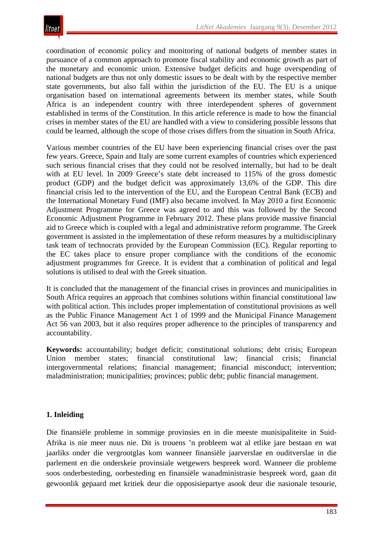coordination of economic policy and monitoring of national budgets of member states in pursuance of a common approach to promote fiscal stability and economic growth as part of the monetary and economic union. Extensive budget deficits and huge overspending of national budgets are thus not only domestic issues to be dealt with by the respective member state governments, but also fall within the jurisdiction of the EU. The EU is a unique organisation based on international agreements between its member states, while South Africa is an independent country with three interdependent spheres of government established in terms of the Constitution. In this article reference is made to how the financial crises in member states of the EU are handled with a view to considering possible lessons that could be learned, although the scope of those crises differs from the situation in South Africa.

Various member countries of the EU have been experiencing financial crises over the past few years. Greece, Spain and Italy are some current examples of countries which experienced such serious financial crises that they could not be resolved internally, but had to be dealt with at EU level. In 2009 Greece's state debt increased to 115% of the gross domestic product (GDP) and the budget deficit was approximately 13,6% of the GDP. This dire financial crisis led to the intervention of the EU, and the European Central Bank (ECB) and the International Monetary Fund (IMF) also became involved. In May 2010 a first Economic Adjustment Programme for Greece was agreed to and this was followed by the Second Economic Adjustment Programme in February 2012. These plans provide massive financial aid to Greece which is coupled with a legal and administrative reform programme. The Greek government is assisted in the implementation of these reform measures by a multidisciplinary task team of technocrats provided by the European Commission (EC). Regular reporting to the EC takes place to ensure proper compliance with the conditions of the economic adjustment programmes for Greece. It is evident that a combination of political and legal solutions is utilised to deal with the Greek situation.

It is concluded that the management of the financial crises in provinces and municipalities in South Africa requires an approach that combines solutions within financial constitutional law with political action. This includes proper implementation of constitutional provisions as well as the Public Finance Management Act 1 of 1999 and the Municipal Finance Management Act 56 van 2003, but it also requires proper adherence to the principles of transparency and accountability.

**Keywords:** accountability; budget deficit; constitutional solutions; debt crisis; European Union member states; financial constitutional law; financial crisis; financial intergovernmental relations; financial management; financial misconduct; intervention; maladministration; municipalities; provinces; public debt; public financial management.

## **1. Inleiding**

Die finansiële probleme in sommige provinsies en in die meeste munisipaliteite in Suid-Afrika is nie meer nuus nie. Dit is trouens 'n probleem wat al etlike jare bestaan en wat jaarliks onder die vergrootglas kom wanneer finansiële jaarverslae en ouditverslae in die parlement en die onderskeie provinsiale wetgewers bespreek word. Wanneer die probleme soos onderbesteding, oorbesteding en finansiële wanadministrasie bespreek word, gaan dit gewoonlik gepaard met kritiek deur die opposisiepartye asook deur die nasionale tesourie,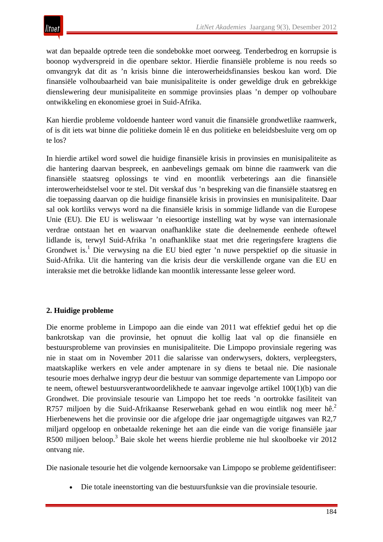wat dan bepaalde optrede teen die sondebokke moet oorweeg. Tenderbedrog en korrupsie is boonop wydverspreid in die openbare sektor. Hierdie finansiële probleme is nou reeds so omvangryk dat dit as 'n krisis binne die interowerheidsfinansies beskou kan word. Die finansiële volhoubaarheid van baie munisipaliteite is onder geweldige druk en gebrekkige dienslewering deur munisipaliteite en sommige provinsies plaas 'n demper op volhoubare ontwikkeling en ekonomiese groei in Suid-Afrika.

Kan hierdie probleme voldoende hanteer word vanuit die finansiële grondwetlike raamwerk, of is dit iets wat binne die politieke domein lê en dus politieke en beleidsbesluite verg om op te los?

In hierdie artikel word sowel die huidige finansiële krisis in provinsies en munisipaliteite as die hantering daarvan bespreek, en aanbevelings gemaak om binne die raamwerk van die finansiële staatsreg oplossings te vind en moontlik verbeterings aan die finansiële interowerheidstelsel voor te stel. Dit verskaf dus 'n bespreking van die finansiële staatsreg en die toepassing daarvan op die huidige finansiële krisis in provinsies en munisipaliteite. Daar sal ook kortliks verwys word na die finansiële krisis in sommige lidlande van die Europese Unie (EU). Die EU is weliswaar 'n eiesoortige instelling wat by wyse van internasionale verdrae ontstaan het en waarvan onafhanklike state die deelnemende eenhede oftewel lidlande is, terwyl Suid-Afrika 'n onafhanklike staat met drie regeringsfere kragtens die Grondwet is.<sup>1</sup> Die verwysing na die EU bied egter 'n nuwe perspektief op die situasie in Suid-Afrika. Uit die hantering van die krisis deur die verskillende organe van die EU en interaksie met die betrokke lidlande kan moontlik interessante lesse geleer word.

# **2. Huidige probleme**

Die enorme probleme in Limpopo aan die einde van 2011 wat effektief gedui het op die bankrotskap van die provinsie, het opnuut die kollig laat val op die finansiële en bestuursprobleme van provinsies en munisipaliteite. Die Limpopo provinsiale regering was nie in staat om in November 2011 die salarisse van onderwysers, dokters, verpleegsters, maatskaplike werkers en vele ander amptenare in sy diens te betaal nie. Die nasionale tesourie moes derhalwe ingryp deur die bestuur van sommige departemente van Limpopo oor te neem, oftewel bestuursverantwoordelikhede te aanvaar ingevolge artikel 100(1)(b) van die Grondwet. Die provinsiale tesourie van Limpopo het toe reeds 'n oortrokke fasiliteit van R757 miljoen by die Suid-Afrikaanse Reserwebank gehad en wou eintlik nog meer hê.<sup>2</sup> Hierbenewens het die provinsie oor die afgelope drie jaar ongemagtigde uitgawes van R2,7 miljard opgeloop en onbetaalde rekeninge het aan die einde van die vorige finansiële jaar R500 miljoen beloop.3 Baie skole het weens hierdie probleme nie hul skoolboeke vir 2012 ontvang nie.

Die nasionale tesourie het die volgende kernoorsake van Limpopo se probleme geïdentifiseer:

• Die totale ineenstorting van die bestuursfunksie van die provinsiale tesourie.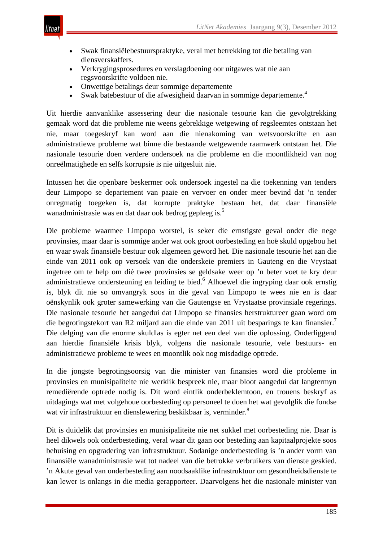- Swak finansiëlebestuurspraktyke, veral met betrekking tot die betaling van diensverskaffers.
- Verkrygingsprosedures en verslagdoening oor uitgawes wat nie aan regsvoorskrifte voldoen nie.
- Onwettige betalings deur sommige departemente
- Swak batebestuur of die afwesigheid daarvan in sommige departemente.<sup>4</sup>

Uit hierdie aanvanklike assessering deur die nasionale tesourie kan die gevolgtrekking gemaak word dat die probleme nie weens gebrekkige wetgewing of regsleemtes ontstaan het nie, maar toegeskryf kan word aan die nienakoming van wetsvoorskrifte en aan administratiewe probleme wat binne die bestaande wetgewende raamwerk ontstaan het. Die nasionale tesourie doen verdere ondersoek na die probleme en die moontlikheid van nog onreëlmatighede en selfs korrupsie is nie uitgesluit nie.

Intussen het die openbare beskermer ook ondersoek ingestel na die toekenning van tenders deur Limpopo se departement van paaie en vervoer en onder meer bevind dat 'n tender onregmatig toegeken is, dat korrupte praktyke bestaan het, dat daar finansiële wanadministrasie was en dat daar ook bedrog gepleeg is.<sup>5</sup>

Die probleme waarmee Limpopo worstel, is seker die ernstigste geval onder die nege provinsies, maar daar is sommige ander wat ook groot oorbesteding en hoë skuld opgebou het en waar swak finansiële bestuur ook algemeen geword het. Die nasionale tesourie het aan die einde van 2011 ook op versoek van die onderskeie premiers in Gauteng en die Vrystaat ingetree om te help om dié twee provinsies se geldsake weer op 'n beter voet te kry deur administratiewe ondersteuning en leiding te bied.<sup>6</sup> Alhoewel die ingryping daar ook ernstig is, blyk dit nie so omvangryk soos in die geval van Limpopo te wees nie en is daar oënskynlik ook groter samewerking van die Gautengse en Vrystaatse provinsiale regerings. Die nasionale tesourie het aangedui dat Limpopo se finansies herstruktureer gaan word om die begrotingstekort van R2 miljard aan die einde van 2011 uit besparings te kan finansier.<sup>7</sup> Die delging van die enorme skuldlas is egter net een deel van die oplossing. Onderliggend aan hierdie finansiële krisis blyk, volgens die nasionale tesourie, vele bestuurs- en administratiewe probleme te wees en moontlik ook nog misdadige optrede.

In die jongste begrotingsoorsig van die minister van finansies word die probleme in provinsies en munisipaliteite nie werklik bespreek nie, maar bloot aangedui dat langtermyn remediërende optrede nodig is. Dit word eintlik onderbeklemtoon, en trouens beskryf as uitdagings wat met volgehoue oorbesteding op personeel te doen het wat gevolglik die fondse wat vir infrastruktuur en dienslewering beskikbaar is, verminder.<sup>8</sup>

Dit is duidelik dat provinsies en munisipaliteite nie net sukkel met oorbesteding nie. Daar is heel dikwels ook onderbesteding, veral waar dit gaan oor besteding aan kapitaalprojekte soos behuising en opgradering van infrastruktuur. Sodanige onderbesteding is 'n ander vorm van finansiële wanadministrasie wat tot nadeel van die betrokke verbruikers van dienste geskied. 'n Akute geval van onderbesteding aan noodsaaklike infrastruktuur om gesondheidsdienste te kan lewer is onlangs in die media gerapporteer. Daarvolgens het die nasionale minister van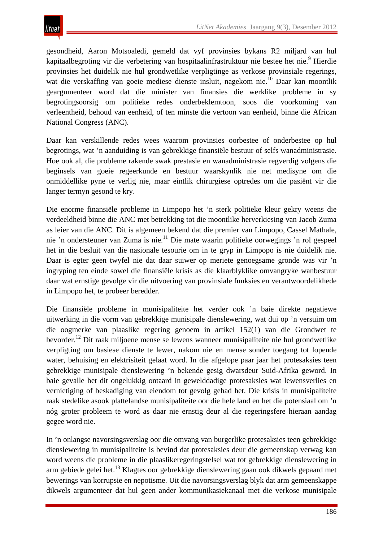gesondheid, Aaron Motsoaledi, gemeld dat vyf provinsies bykans R2 miljard van hul kapitaalbegroting vir die verbetering van hospitaalinfrastruktuur nie bestee het nie.<sup>9</sup> Hierdie provinsies het duidelik nie hul grondwetlike verpligtinge as verkose provinsiale regerings, wat die verskaffing van goeie mediese dienste insluit, nagekom nie.<sup>10</sup> Daar kan moontlik geargumenteer word dat die minister van finansies die werklike probleme in sy begrotingsoorsig om politieke redes onderbeklemtoon, soos die voorkoming van verleentheid, behoud van eenheid, of ten minste die vertoon van eenheid, binne die African National Congress (ANC).

Daar kan verskillende redes wees waarom provinsies oorbestee of onderbestee op hul begrotings, wat 'n aanduiding is van gebrekkige finansiële bestuur of selfs wanadministrasie. Hoe ook al, die probleme rakende swak prestasie en wanadministrasie regverdig volgens die beginsels van goeie regeerkunde en bestuur waarskynlik nie net medisyne om die onmiddellike pyne te verlig nie, maar eintlik chirurgiese optredes om die pasiënt vir die langer termyn gesond te kry.

Die enorme finansiële probleme in Limpopo het 'n sterk politieke kleur gekry weens die verdeeldheid binne die ANC met betrekking tot die moontlike herverkiesing van Jacob Zuma as leier van die ANC. Dit is algemeen bekend dat die premier van Limpopo, Cassel Mathale, nie 'n ondersteuner van Zuma is nie.<sup>11</sup> Die mate waarin politieke oorwegings 'n rol gespeel het in die besluit van die nasionale tesourie om in te gryp in Limpopo is nie duidelik nie. Daar is egter geen twyfel nie dat daar suiwer op meriete genoegsame gronde was vir 'n ingryping ten einde sowel die finansiële krisis as die klaarblyklike omvangryke wanbestuur daar wat ernstige gevolge vir die uitvoering van provinsiale funksies en verantwoordelikhede in Limpopo het, te probeer beredder.

Die finansiële probleme in munisipaliteite het verder ook 'n baie direkte negatiewe uitwerking in die vorm van gebrekkige munisipale dienslewering, wat dui op 'n versuim om die oogmerke van plaaslike regering genoem in artikel 152(1) van die Grondwet te bevorder.12 Dit raak miljoene mense se lewens wanneer munisipaliteite nie hul grondwetlike verpligting om basiese dienste te lewer, nakom nie en mense sonder toegang tot lopende water, behuising en elektrisiteit gelaat word. In die afgelope paar jaar het protesaksies teen gebrekkige munisipale dienslewering 'n bekende gesig dwarsdeur Suid-Afrika geword. In baie gevalle het dit ongelukkig ontaard in gewelddadige protesaksies wat lewensverlies en vernietiging of beskadiging van eiendom tot gevolg gehad het. Die krisis in munisipaliteite raak stedelike asook plattelandse munisipaliteite oor die hele land en het die potensiaal om 'n nóg groter probleem te word as daar nie ernstig deur al die regeringsfere hieraan aandag gegee word nie.

In 'n onlangse navorsingsverslag oor die omvang van burgerlike protesaksies teen gebrekkige dienslewering in munisipaliteite is bevind dat protesaksies deur die gemeenskap verwag kan word weens die probleme in die plaaslikeregeringstelsel wat tot gebrekkige dienslewering in arm gebiede gelei het.13 Klagtes oor gebrekkige dienslewering gaan ook dikwels gepaard met bewerings van korrupsie en nepotisme. Uit die navorsingsverslag blyk dat arm gemeenskappe dikwels argumenteer dat hul geen ander kommunikasiekanaal met die verkose munisipale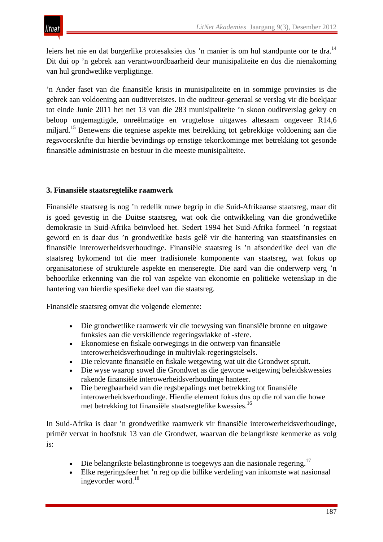leiers het nie en dat burgerlike protesaksies dus 'n manier is om hul standpunte oor te dra.<sup>14</sup> Dit dui op 'n gebrek aan verantwoordbaarheid deur munisipaliteite en dus die nienakoming van hul grondwetlike verpligtinge.

'n Ander faset van die finansiële krisis in munisipaliteite en in sommige provinsies is die gebrek aan voldoening aan ouditvereistes. In die ouditeur-generaal se verslag vir die boekjaar tot einde Junie 2011 het net 13 van die 283 munisipaliteite 'n skoon ouditverslag gekry en beloop ongemagtigde, onreëlmatige en vrugtelose uitgawes altesaam ongeveer R14,6 miljard.15 Benewens die tegniese aspekte met betrekking tot gebrekkige voldoening aan die regsvoorskrifte dui hierdie bevindings op ernstige tekortkominge met betrekking tot gesonde finansiële administrasie en bestuur in die meeste munisipaliteite.

#### **3. Finansiële staatsregtelike raamwerk**

Finansiële staatsreg is nog 'n redelik nuwe begrip in die Suid-Afrikaanse staatsreg, maar dit is goed gevestig in die Duitse staatsreg, wat ook die ontwikkeling van die grondwetlike demokrasie in Suid-Afrika beïnvloed het. Sedert 1994 het Suid-Afrika formeel 'n regstaat geword en is daar dus 'n grondwetlike basis gelê vir die hantering van staatsfinansies en finansiële interowerheidsverhoudinge. Finansiële staatsreg is 'n afsonderlike deel van die staatsreg bykomend tot die meer tradisionele komponente van staatsreg, wat fokus op organisatoriese of strukturele aspekte en menseregte. Die aard van die onderwerp verg 'n behoorlike erkenning van die rol van aspekte van ekonomie en politieke wetenskap in die hantering van hierdie spesifieke deel van die staatsreg.

Finansiële staatsreg omvat die volgende elemente:

- Die grondwetlike raamwerk vir die toewysing van finansiële bronne en uitgawe funksies aan die verskillende regeringsvlakke of -sfere.
- Ekonomiese en fiskale oorwegings in die ontwerp van finansiële interowerheidsverhoudinge in multivlak-regeringstelsels.
- Die relevante finansiële en fiskale wetgewing wat uit die Grondwet spruit.
- Die wyse waarop sowel die Grondwet as die gewone wetgewing beleidskwessies rakende finansiële interowerheidsverhoudinge hanteer.
- Die beregbaarheid van die regsbepalings met betrekking tot finansiële interowerheidsverhoudinge. Hierdie element fokus dus op die rol van die howe met betrekking tot finansiële staatsregtelike kwessies.16

In Suid-Afrika is daar 'n grondwetlike raamwerk vir finansiële interowerheidsverhoudinge, primêr vervat in hoofstuk 13 van die Grondwet, waarvan die belangrikste kenmerke as volg is:

- Die belangrikste belastingbronne is toegewys aan die nasionale regering.<sup>17</sup>
- Elke regeringsfeer het 'n reg op die billike verdeling van inkomste wat nasionaal ingevorder word.<sup>18</sup>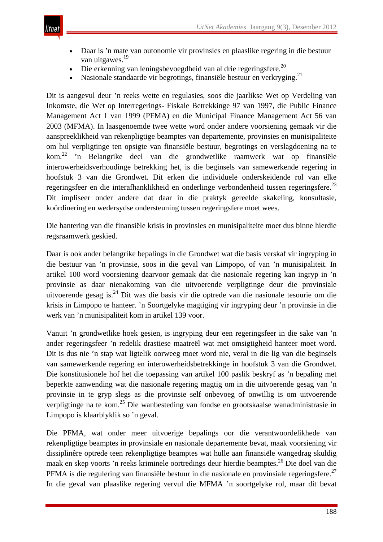

- Daar is 'n mate van outonomie vir provinsies en plaaslike regering in die bestuur van uitgawes.<sup>19</sup>
- Die erkenning van leningsbevoegdheid van al drie regeringsfere.<sup>20</sup>
- Nasionale standaarde vir begrotings, finansiële bestuur en verkryging.<sup>21</sup>

Dit is aangevul deur 'n reeks wette en regulasies, soos die jaarlikse Wet op Verdeling van Inkomste, die Wet op Interregerings- Fiskale Betrekkinge 97 van 1997, die Public Finance Management Act 1 van 1999 (PFMA) en die Municipal Finance Management Act 56 van 2003 (MFMA). In laasgenoemde twee wette word onder andere voorsiening gemaak vir die aanspreeklikheid van rekenpligtige beamptes van departemente, provinsies en munisipaliteite om hul verpligtinge ten opsigte van finansiële bestuur, begrotings en verslagdoening na te kom.<sup>22</sup> 'n Belangrike deel van die grondwetlike raamwerk wat op finansiële interowerheidsverhoudinge betrekking het, is die beginsels van samewerkende regering in hoofstuk 3 van die Grondwet. Dit erken die individuele onderskeidende rol van elke regeringsfeer en die interafhanklikheid en onderlinge verbondenheid tussen regeringsfere.<sup>23</sup> Dit impliseer onder andere dat daar in die praktyk gereelde skakeling, konsultasie, koördinering en wedersydse ondersteuning tussen regeringsfere moet wees.

Die hantering van die finansiële krisis in provinsies en munisipaliteite moet dus binne hierdie regsraamwerk geskied.

Daar is ook ander belangrike bepalings in die Grondwet wat die basis verskaf vir ingryping in die bestuur van 'n provinsie, soos in die geval van Limpopo, of van 'n munisipaliteit. In artikel 100 word voorsiening daarvoor gemaak dat die nasionale regering kan ingryp in 'n provinsie as daar nienakoming van die uitvoerende verpligtinge deur die provinsiale uitvoerende gesag is.24 Dit was die basis vir die optrede van die nasionale tesourie om die krisis in Limpopo te hanteer. 'n Soortgelyke magtiging vir ingryping deur 'n provinsie in die werk van 'n munisipaliteit kom in artikel 139 voor.

Vanuit 'n grondwetlike hoek gesien, is ingryping deur een regeringsfeer in die sake van 'n ander regeringsfeer 'n redelik drastiese maatreël wat met omsigtigheid hanteer moet word. Dit is dus nie 'n stap wat ligtelik oorweeg moet word nie, veral in die lig van die beginsels van samewerkende regering en interowerheidsbetrekkinge in hoofstuk 3 van die Grondwet. Die konstitusionele hof het die toepassing van artikel 100 paslik beskryf as 'n bepaling met beperkte aanwending wat die nasionale regering magtig om in die uitvoerende gesag van 'n provinsie in te gryp slegs as die provinsie self onbevoeg of onwillig is om uitvoerende verpligtinge na te kom.25 Die wanbesteding van fondse en grootskaalse wanadministrasie in Limpopo is klaarblyklik so 'n geval.

Die PFMA, wat onder meer uitvoerige bepalings oor die verantwoordelikhede van rekenpligtige beamptes in provinsiale en nasionale departemente bevat, maak voorsiening vir dissiplinêre optrede teen rekenpligtige beamptes wat hulle aan finansiële wangedrag skuldig maak en skep voorts 'n reeks kriminele oortredings deur hierdie beamptes.26 Die doel van die PFMA is die regulering van finansiële bestuur in die nasionale en provinsiale regeringsfere.<sup>27</sup> In die geval van plaaslike regering vervul die MFMA 'n soortgelyke rol, maar dit bevat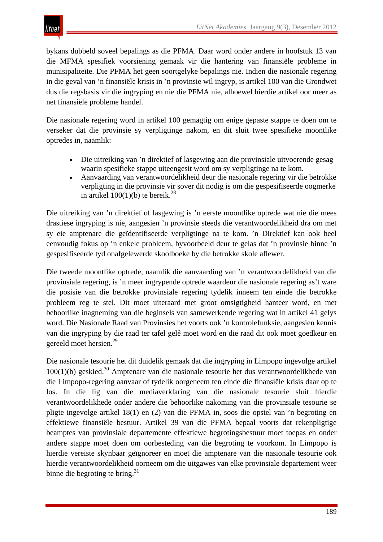bykans dubbeld soveel bepalings as die PFMA. Daar word onder andere in hoofstuk 13 van die MFMA spesifiek voorsiening gemaak vir die hantering van finansiële probleme in munisipaliteite. Die PFMA het geen soortgelyke bepalings nie. Indien die nasionale regering in die geval van 'n finansiële krisis in 'n provinsie wil ingryp, is artikel 100 van die Grondwet dus die regsbasis vir die ingryping en nie die PFMA nie, alhoewel hierdie artikel oor meer as net finansiële probleme handel.

Die nasionale regering word in artikel 100 gemagtig om enige gepaste stappe te doen om te verseker dat die provinsie sy verpligtinge nakom, en dit sluit twee spesifieke moontlike optredes in, naamlik:

- Die uitreiking van 'n direktief of lasgewing aan die provinsiale uitvoerende gesag waarin spesifieke stappe uiteengesit word om sy verpligtinge na te kom.
- Aanvaarding van verantwoordelikheid deur die nasionale regering vir die betrokke verpligting in die provinsie vir sover dit nodig is om die gespesifiseerde oogmerke in artikel  $100(1)(b)$  te bereik.<sup>28</sup>

Die uitreiking van 'n direktief of lasgewing is 'n eerste moontlike optrede wat nie die mees drastiese ingryping is nie, aangesien 'n provinsie steeds die verantwoordelikheid dra om met sy eie amptenare die geïdentifiseerde verpligtinge na te kom. 'n Direktief kan ook heel eenvoudig fokus op 'n enkele probleem, byvoorbeeld deur te gelas dat 'n provinsie binne 'n gespesifiseerde tyd onafgelewerde skoolboeke by die betrokke skole aflewer.

Die tweede moontlike optrede, naamlik die aanvaarding van 'n verantwoordelikheid van die provinsiale regering, is 'n meer ingrypende optrede waardeur die nasionale regering as't ware die posisie van die betrokke provinsiale regering tydelik inneem ten einde die betrokke probleem reg te stel. Dit moet uiteraard met groot omsigtigheid hanteer word, en met behoorlike inagneming van die beginsels van samewerkende regering wat in artikel 41 gelys word. Die Nasionale Raad van Provinsies het voorts ook 'n kontrolefunksie, aangesien kennis van die ingryping by die raad ter tafel gelê moet word en die raad dit ook moet goedkeur en gereeld moet hersien.<sup>29</sup>

Die nasionale tesourie het dit duidelik gemaak dat die ingryping in Limpopo ingevolge artikel  $100(1)(b)$  geskied.<sup>30</sup> Amptenare van die nasionale tesourie het dus verantwoordelikhede van die Limpopo-regering aanvaar of tydelik oorgeneem ten einde die finansiële krisis daar op te los. In die lig van die mediaverklaring van die nasionale tesourie sluit hierdie verantwoordelikhede onder andere die behoorlike nakoming van die provinsiale tesourie se pligte ingevolge artikel 18(1) en (2) van die PFMA in, soos die opstel van 'n begroting en effektiewe finansiële bestuur. Artikel 39 van die PFMA bepaal voorts dat rekenpligtige beamptes van provinsiale departemente effektiewe begrotingsbestuur moet toepas en onder andere stappe moet doen om oorbesteding van die begroting te voorkom. In Limpopo is hierdie vereiste skynbaar geïgnoreer en moet die amptenare van die nasionale tesourie ook hierdie verantwoordelikheid oorneem om die uitgawes van elke provinsiale departement weer binne die begroting te bring.<sup>31</sup>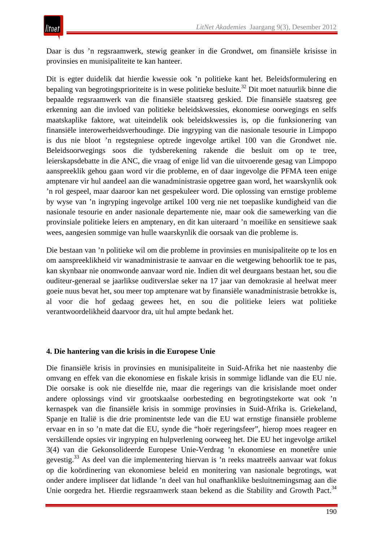Daar is dus 'n regsraamwerk, stewig geanker in die Grondwet, om finansiële krisisse in provinsies en munisipaliteite te kan hanteer.

Dit is egter duidelik dat hierdie kwessie ook 'n politieke kant het. Beleidsformulering en bepaling van begrotingsprioriteite is in wese politieke besluite.<sup>32</sup> Dit moet natuurlik binne die bepaalde regsraamwerk van die finansiële staatsreg geskied. Die finansiële staatsreg gee erkenning aan die invloed van politieke beleidskwessies, ekonomiese oorwegings en selfs maatskaplike faktore, wat uiteindelik ook beleidskwessies is, op die funksionering van finansiële interowerheidsverhoudinge. Die ingryping van die nasionale tesourie in Limpopo is dus nie bloot 'n regstegniese optrede ingevolge artikel 100 van die Grondwet nie. Beleidsoorwegings soos die tydsberekening rakende die besluit om op te tree, leierskapsdebatte in die ANC, die vraag of enige lid van die uitvoerende gesag van Limpopo aanspreeklik gehou gaan word vir die probleme, en of daar ingevolge die PFMA teen enige amptenare vir hul aandeel aan die wanadministrasie opgetree gaan word, het waarskynlik ook 'n rol gespeel, maar daaroor kan net gespekuleer word. Die oplossing van ernstige probleme by wyse van 'n ingryping ingevolge artikel 100 verg nie net toepaslike kundigheid van die nasionale tesourie en ander nasionale departemente nie, maar ook die samewerking van die provinsiale politieke leiers en amptenary, en dit kan uiteraard 'n moeilike en sensitiewe saak wees, aangesien sommige van hulle waarskynlik die oorsaak van die probleme is.

Die bestaan van 'n politieke wil om die probleme in provinsies en munisipaliteite op te los en om aanspreeklikheid vir wanadministrasie te aanvaar en die wetgewing behoorlik toe te pas, kan skynbaar nie onomwonde aanvaar word nie. Indien dit wel deurgaans bestaan het, sou die ouditeur-generaal se jaarlikse ouditverslae seker na 17 jaar van demokrasie al heelwat meer goeie nuus bevat het, sou meer top amptenare wat by finansiële wanadministrasie betrokke is, al voor die hof gedaag gewees het, en sou die politieke leiers wat politieke verantwoordelikheid daarvoor dra, uit hul ampte bedank het.

## **4. Die hantering van die krisis in die Europese Unie**

Die finansiële krisis in provinsies en munisipaliteite in Suid-Afrika het nie naastenby die omvang en effek van die ekonomiese en fiskale krisis in sommige lidlande van die EU nie. Die oorsake is ook nie dieselfde nie, maar die regerings van die krisislande moet onder andere oplossings vind vir grootskaalse oorbesteding en begrotingstekorte wat ook 'n kernaspek van die finansiële krisis in sommige provinsies in Suid-Afrika is. Griekeland, Spanje en Italië is die drie prominentste lede van die EU wat ernstige finansiële probleme ervaar en in so 'n mate dat die EU, synde die "hoër regeringsfeer", hierop moes reageer en verskillende opsies vir ingryping en hulpverlening oorweeg het. Die EU het ingevolge artikel 3(4) van die Gekonsolideerde Europese Unie-Verdrag 'n ekonomiese en monetêre unie gevestig.<sup>33</sup> As deel van die implementering hiervan is 'n reeks maatreëls aanvaar wat fokus op die koördinering van ekonomiese beleid en monitering van nasionale begrotings, wat onder andere impliseer dat lidlande 'n deel van hul onafhanklike besluitnemingsmag aan die Unie oorgedra het. Hierdie regsraamwerk staan bekend as die Stability and Growth Pact.<sup>34</sup>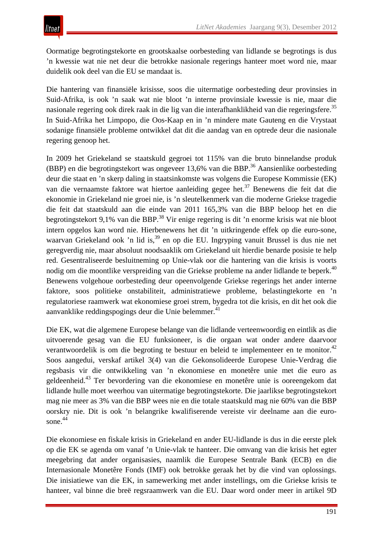Oormatige begrotingstekorte en grootskaalse oorbesteding van lidlande se begrotings is dus 'n kwessie wat nie net deur die betrokke nasionale regerings hanteer moet word nie, maar duidelik ook deel van die EU se mandaat is.

Die hantering van finansiële krisisse, soos die uitermatige oorbesteding deur provinsies in Suid-Afrika, is ook 'n saak wat nie bloot 'n interne provinsiale kwessie is nie, maar die nasionale regering ook direk raak in die lig van die interafhanklikheid van die regeringsfere.<sup>35</sup> In Suid-Afrika het Limpopo, die Oos-Kaap en in 'n mindere mate Gauteng en die Vrystaat sodanige finansiële probleme ontwikkel dat dit die aandag van en optrede deur die nasionale regering genoop het.

In 2009 het Griekeland se staatskuld gegroei tot 115% van die bruto binnelandse produk (BBP) en die begrotingstekort was ongeveer 13,6% van die BBP.<sup>36</sup> Aansienlike oorbesteding deur die staat en 'n skerp daling in staatsinkomste was volgens die Europese Kommissie (EK) van die vernaamste faktore wat hiertoe aanleiding gegee het.<sup>37</sup> Benewens die feit dat die ekonomie in Griekeland nie groei nie, is 'n sleutelkenmerk van die moderne Griekse tragedie die feit dat staatskuld aan die einde van 2011 165,3% van die BBP beloop het en die begrotingstekort 9,1% van die BBP.<sup>38</sup> Vir enige regering is dit 'n enorme krisis wat nie bloot intern opgelos kan word nie. Hierbenewens het dit 'n uitkringende effek op die euro-sone, waarvan Griekeland ook 'n lid is,<sup>39</sup> en op die EU. Ingryping vanuit Brussel is dus nie net geregverdig nie, maar absoluut noodsaaklik om Griekeland uit hierdie benarde posisie te help red. Gesentraliseerde besluitneming op Unie-vlak oor die hantering van die krisis is voorts nodig om die moontlike verspreiding van die Griekse probleme na ander lidlande te beperk.<sup>40</sup> Benewens volgehoue oorbesteding deur opeenvolgende Griekse regerings het ander interne faktore, soos politieke onstabiliteit, administratiewe probleme, belastingtekorte en 'n regulatoriese raamwerk wat ekonomiese groei strem, bygedra tot die krisis, en dit het ook die aanvanklike reddingspogings deur die Unie belemmer.<sup>41</sup>

Die EK, wat die algemene Europese belange van die lidlande verteenwoordig en eintlik as die uitvoerende gesag van die EU funksioneer, is die orgaan wat onder andere daarvoor verantwoordelik is om die begroting te bestuur en beleid te implementeer en te monitor.<sup>42</sup> Soos aangedui, verskaf artikel 3(4) van die Gekonsolideerde Europese Unie-Verdrag die regsbasis vir die ontwikkeling van 'n ekonomiese en monetêre unie met die euro as geldeenheid.43 Ter bevordering van die ekonomiese en monetêre unie is ooreengekom dat lidlande hulle moet weerhou van uitermatige begrotingstekorte. Die jaarlikse begrotingstekort mag nie meer as 3% van die BBP wees nie en die totale staatskuld mag nie 60% van die BBP oorskry nie. Dit is ook 'n belangrike kwalifiserende vereiste vir deelname aan die eurosone. 44

Die ekonomiese en fiskale krisis in Griekeland en ander EU-lidlande is dus in die eerste plek op die EK se agenda om vanaf 'n Unie-vlak te hanteer. Die omvang van die krisis het egter meegebring dat ander organisasies, naamlik die Europese Sentrale Bank (ECB) en die Internasionale Monetêre Fonds (IMF) ook betrokke geraak het by die vind van oplossings. Die inisiatiewe van die EK, in samewerking met ander instellings, om die Griekse krisis te hanteer, val binne die breë regsraamwerk van die EU. Daar word onder meer in artikel 9D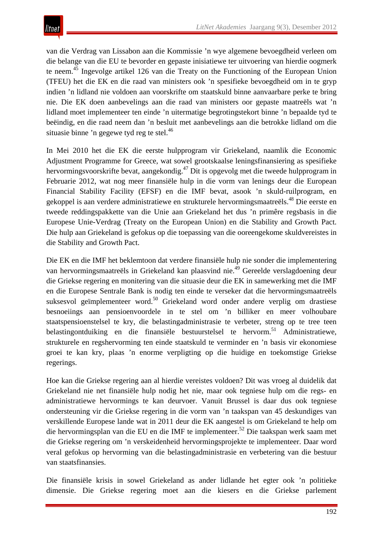van die Verdrag van Lissabon aan die Kommissie 'n wye algemene bevoegdheid verleen om die belange van die EU te bevorder en gepaste inisiatiewe ter uitvoering van hierdie oogmerk te neem.<sup>45</sup> Ingevolge artikel 126 van die Treaty on the Functioning of the European Union (TFEU) het die EK en die raad van ministers ook 'n spesifieke bevoegdheid om in te gryp indien 'n lidland nie voldoen aan voorskrifte om staatskuld binne aanvaarbare perke te bring nie. Die EK doen aanbevelings aan die raad van ministers oor gepaste maatreëls wat 'n lidland moet implementeer ten einde 'n uitermatige begrotingstekort binne 'n bepaalde tyd te beëindig, en die raad neem dan 'n besluit met aanbevelings aan die betrokke lidland om die situasie binne 'n gegewe tyd reg te stel.<sup>46</sup>

In Mei 2010 het die EK die eerste hulpprogram vir Griekeland, naamlik die Economic Adjustment Programme for Greece, wat sowel grootskaalse leningsfinansiering as spesifieke hervormingsvoorskrifte bevat, aangekondig.47 Dit is opgevolg met die tweede hulpprogram in Februarie 2012, wat nog meer finansiële hulp in die vorm van lenings deur die European Financial Stability Facility (EFSF) en die IMF bevat, asook 'n skuld-ruilprogram, en gekoppel is aan verdere administratiewe en strukturele hervormingsmaatreëls.<sup>48</sup> Die eerste en tweede reddingspakkette van die Unie aan Griekeland het dus 'n primêre regsbasis in die Europese Unie-Verdrag (Treaty on the European Union) en die Stability and Growth Pact. Die hulp aan Griekeland is gefokus op die toepassing van die ooreengekome skuldvereistes in die Stability and Growth Pact.

Die EK en die IMF het beklemtoon dat verdere finansiële hulp nie sonder die implementering van hervormingsmaatreëls in Griekeland kan plaasvind nie.49 Gereelde verslagdoening deur die Griekse regering en monitering van die situasie deur die EK in samewerking met die IMF en die Europese Sentrale Bank is nodig ten einde te verseker dat die hervormingsmaatreëls suksesvol geïmplementeer word.<sup>50</sup> Griekeland word onder andere verplig om drastiese besnoeiings aan pensioenvoordele in te stel om 'n billiker en meer volhoubare staatspensioenstelsel te kry, die belastingadministrasie te verbeter, streng op te tree teen belastingontduiking en die finansiële bestuurstelsel te hervorm.<sup>51</sup> Administratiewe, strukturele en regshervorming ten einde staatskuld te verminder en 'n basis vir ekonomiese groei te kan kry, plaas 'n enorme verpligting op die huidige en toekomstige Griekse regerings.

Hoe kan die Griekse regering aan al hierdie vereistes voldoen? Dit was vroeg al duidelik dat Griekeland nie net finansiële hulp nodig het nie, maar ook tegniese hulp om die regs- en administratiewe hervormings te kan deurvoer. Vanuit Brussel is daar dus ook tegniese ondersteuning vir die Griekse regering in die vorm van 'n taakspan van 45 deskundiges van verskillende Europese lande wat in 2011 deur die EK aangestel is om Griekeland te help om die hervormingsplan van die EU en die IMF te implementeer.<sup>52</sup> Die taakspan werk saam met die Griekse regering om 'n verskeidenheid hervormingsprojekte te implementeer. Daar word veral gefokus op hervorming van die belastingadministrasie en verbetering van die bestuur van staatsfinansies.

Die finansiële krisis in sowel Griekeland as ander lidlande het egter ook 'n politieke dimensie. Die Griekse regering moet aan die kiesers en die Griekse parlement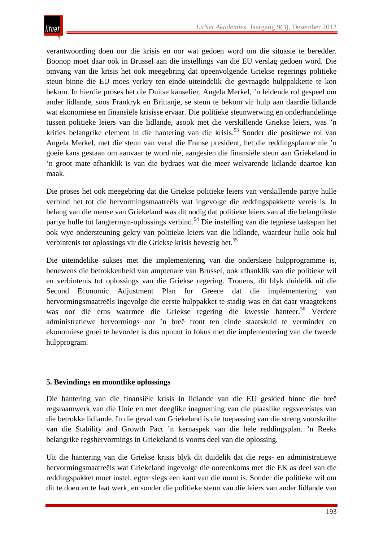verantwoording doen oor die krisis en oor wat gedoen word om die situasie te beredder. Boonop moet daar ook in Brussel aan die instellings van die EU verslag gedoen word. Die omvang van die krisis het ook meegebring dat opeenvolgende Griekse regerings politieke steun binne die EU moes verkry ten einde uiteindelik die gevraagde hulppakkette te kon bekom. In hierdie proses het die Duitse kanselier, Angela Merkel, 'n leidende rol gespeel om ander lidlande, soos Frankryk en Brittanje, se steun te bekom vir hulp aan daardie lidlande wat ekonomiese en finansiële krisisse ervaar. Die politieke steunwerwing en onderhandelinge tussen politieke leiers van die lidlande, asook met die verskillende Griekse leiers, was 'n krities belangrike element in die hantering van die krisis.<sup>53</sup> Sonder die positiewe rol van Angela Merkel, met die steun van veral die Franse president, het die reddingsplanne nie 'n goeie kans gestaan om aanvaar te word nie, aangesien die finansiële steun aan Griekeland in 'n groot mate afhanklik is van die bydraes wat die meer welvarende lidlande daartoe kan maak.

Die proses het ook meegebring dat die Griekse politieke leiers van verskillende partye hulle verbind het tot die hervormingsmaatreëls wat ingevolge die reddingspakkette vereis is. In belang van die mense van Griekeland was dit nodig dat politieke leiers van al die belangrikste partye hulle tot langtermyn-oplossings verbind.<sup>54</sup> Die instelling van die tegniese taakspan het ook wye ondersteuning gekry van politieke leiers van die lidlande, waardeur hulle ook hul verbintenis tot oplossings vir die Griekse krisis bevestig het.<sup>55</sup>

Die uiteindelike sukses met die implementering van die onderskeie hulpprogramme is, benewens die betrokkenheid van amptenare van Brussel, ook afhanklik van die politieke wil en verbintenis tot oplossings van die Griekse regering. Trouens, dit blyk duidelik uit die Second Economic Adjustment Plan for Greece dat die implementering van hervormingsmaatreëls ingevolge die eerste hulppakket te stadig was en dat daar vraagtekens was oor die erns waarmee die Griekse regering die kwessie hanteer.<sup>56</sup> Verdere administratiewe hervormings oor 'n breë front ten einde staatskuld te verminder en ekonomiese groei te bevorder is dus opnuut in fokus met die implementering van die tweede hulpprogram.

## **5. Bevindings en moontlike oplossings**

Die hantering van die finansiële krisis in lidlande van die EU geskied binne die breë regsraamwerk van die Unie en met deeglike inagneming van die plaaslike regsvereistes van die betrokke lidlande. In die geval van Griekeland is die toepassing van die streng voorskrifte van die Stability and Growth Pact 'n kernaspek van die hele reddingsplan. 'n Reeks belangrike regshervormings in Griekeland is voorts deel van die oplossing.

Uit die hantering van die Griekse krisis blyk dit duidelik dat die regs- en administratiewe hervormingsmaatreëls wat Griekeland ingevolge die ooreenkoms met die EK as deel van die reddingspakket moet instel, egter slegs een kant van die munt is. Sonder die politieke wil om dit te doen en te laat werk, en sonder die politieke steun van die leiers van ander lidlande van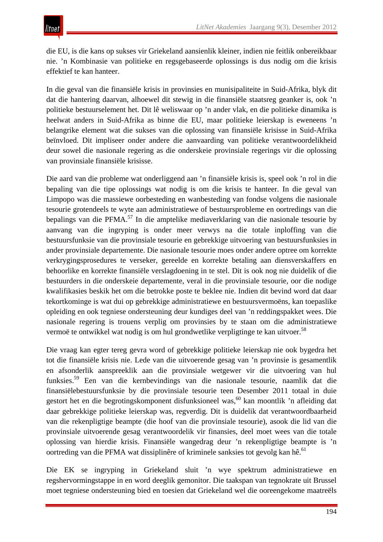die EU, is die kans op sukses vir Griekeland aansienlik kleiner, indien nie feitlik onbereikbaar nie. 'n Kombinasie van politieke en regsgebaseerde oplossings is dus nodig om die krisis effektief te kan hanteer.

In die geval van die finansiële krisis in provinsies en munisipaliteite in Suid-Afrika, blyk dit dat die hantering daarvan, alhoewel dit stewig in die finansiële staatsreg geanker is, ook 'n politieke bestuurselement het. Dit lê weliswaar op 'n ander vlak, en die politieke dinamika is heelwat anders in Suid-Afrika as binne die EU, maar politieke leierskap is eweneens 'n belangrike element wat die sukses van die oplossing van finansiële krisisse in Suid-Afrika beïnvloed. Dit impliseer onder andere die aanvaarding van politieke verantwoordelikheid deur sowel die nasionale regering as die onderskeie provinsiale regerings vir die oplossing van provinsiale finansiële krisisse.

Die aard van die probleme wat onderliggend aan 'n finansiële krisis is, speel ook 'n rol in die bepaling van die tipe oplossings wat nodig is om die krisis te hanteer. In die geval van Limpopo was die massiewe oorbesteding en wanbesteding van fondse volgens die nasionale tesourie grotendeels te wyte aan administratiewe of bestuursprobleme en oortredings van die bepalings van die PFMA.<sup>57</sup> In die amptelike mediaverklaring van die nasionale tesourie by aanvang van die ingryping is onder meer verwys na die totale inploffing van die bestuursfunksie van die provinsiale tesourie en gebrekkige uitvoering van bestuursfunksies in ander provinsiale departemente. Die nasionale tesourie moes onder andere optree om korrekte verkrygingsprosedures te verseker, gereelde en korrekte betaling aan diensverskaffers en behoorlike en korrekte finansiële verslagdoening in te stel. Dit is ook nog nie duidelik of die bestuurders in die onderskeie departemente, veral in die provinsiale tesourie, oor die nodige kwalifikasies beskik het om die betrokke poste te beklee nie. Indien dit bevind word dat daar tekortkominge is wat dui op gebrekkige administratiewe en bestuursvermoëns, kan toepaslike opleiding en ook tegniese ondersteuning deur kundiges deel van 'n reddingspakket wees. Die nasionale regering is trouens verplig om provinsies by te staan om die administratiewe vermoë te ontwikkel wat nodig is om hul grondwetlike verpligtinge te kan uitvoer.<sup>58</sup>

Die vraag kan egter tereg gevra word of gebrekkige politieke leierskap nie ook bygedra het tot die finansiële krisis nie. Lede van die uitvoerende gesag van 'n provinsie is gesamentlik en afsonderlik aanspreeklik aan die provinsiale wetgewer vir die uitvoering van hul funksies.<sup>59</sup> Een van die kernbevindings van die nasionale tesourie, naamlik dat die finansiëlebestuursfunksie by die provinsiale tesourie teen Desember 2011 totaal in duie gestort het en die begrotingskomponent disfunksioneel was,<sup>60</sup> kan moontlik 'n afleiding dat daar gebrekkige politieke leierskap was, regverdig. Dit is duidelik dat verantwoordbaarheid van die rekenpligtige beampte (die hoof van die provinsiale tesourie), asook die lid van die provinsiale uitvoerende gesag verantwoordelik vir finansies, deel moet wees van die totale oplossing van hierdie krisis. Finansiële wangedrag deur 'n rekenpligtige beampte is 'n oortreding van die PFMA wat dissiplinêre of kriminele sanksies tot gevolg kan hê.<sup>61</sup>

Die EK se ingryping in Griekeland sluit 'n wye spektrum administratiewe en regshervormingstappe in en word deeglik gemonitor. Die taakspan van tegnokrate uit Brussel moet tegniese ondersteuning bied en toesien dat Griekeland wel die ooreengekome maatreëls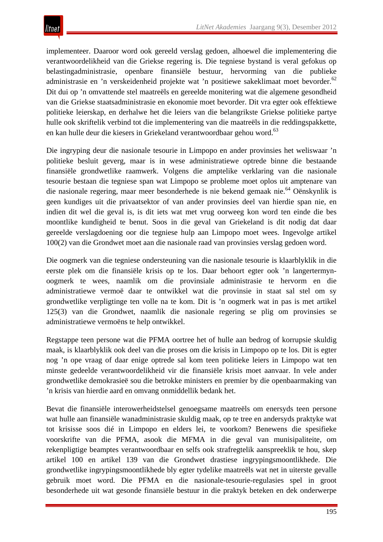implementeer. Daaroor word ook gereeld verslag gedoen, alhoewel die implementering die verantwoordelikheid van die Griekse regering is. Die tegniese bystand is veral gefokus op belastingadministrasie, openbare finansiële bestuur, hervorming van die publieke administrasie en 'n verskeidenheid projekte wat 'n positiewe sakeklimaat moet bevorder.<sup>62</sup> Dit dui op 'n omvattende stel maatreëls en gereelde monitering wat die algemene gesondheid van die Griekse staatsadministrasie en ekonomie moet bevorder. Dit vra egter ook effektiewe politieke leierskap, en derhalwe het die leiers van die belangrikste Griekse politieke partye hulle ook skriftelik verbind tot die implementering van die maatreëls in die reddingspakkette, en kan hulle deur die kiesers in Griekeland verantwoordbaar gehou word.<sup>63</sup>

Die ingryping deur die nasionale tesourie in Limpopo en ander provinsies het weliswaar 'n politieke besluit geverg, maar is in wese administratiewe optrede binne die bestaande finansiële grondwetlike raamwerk. Volgens die amptelike verklaring van die nasionale tesourie bestaan die tegniese span wat Limpopo se probleme moet oplos uit amptenare van die nasionale regering, maar meer besonderhede is nie bekend gemaak nie.<sup>64</sup> Oënskynlik is geen kundiges uit die privaatsektor of van ander provinsies deel van hierdie span nie, en indien dit wel die geval is, is dit iets wat met vrug oorweeg kon word ten einde die bes moontlike kundigheid te benut. Soos in die geval van Griekeland is dit nodig dat daar gereelde verslagdoening oor die tegniese hulp aan Limpopo moet wees. Ingevolge artikel 100(2) van die Grondwet moet aan die nasionale raad van provinsies verslag gedoen word.

Die oogmerk van die tegniese ondersteuning van die nasionale tesourie is klaarblyklik in die eerste plek om die finansiële krisis op te los. Daar behoort egter ook 'n langertermynoogmerk te wees, naamlik om die provinsiale administrasie te hervorm en die administratiewe vermoë daar te ontwikkel wat die provinsie in staat sal stel om sy grondwetlike verpligtinge ten volle na te kom. Dit is 'n oogmerk wat in pas is met artikel 125(3) van die Grondwet, naamlik die nasionale regering se plig om provinsies se administratiewe vermoëns te help ontwikkel.

Regstappe teen persone wat die PFMA oortree het of hulle aan bedrog of korrupsie skuldig maak, is klaarblyklik ook deel van die proses om die krisis in Limpopo op te los. Dit is egter nog 'n ope vraag of daar enige optrede sal kom teen politieke leiers in Limpopo wat ten minste gedeelde verantwoordelikheid vir die finansiële krisis moet aanvaar. In vele ander grondwetlike demokrasieë sou die betrokke ministers en premier by die openbaarmaking van 'n krisis van hierdie aard en omvang onmiddellik bedank het.

Bevat die finansiële interowerheidstelsel genoegsame maatreëls om enersyds teen persone wat hulle aan finansiële wanadministrasie skuldig maak, op te tree en andersyds praktyke wat tot krisisse soos dié in Limpopo en elders lei, te voorkom? Benewens die spesifieke voorskrifte van die PFMA, asook die MFMA in die geval van munisipaliteite, om rekenpligtige beamptes verantwoordbaar en selfs ook strafregtelik aanspreeklik te hou, skep artikel 100 en artikel 139 van die Grondwet drastiese ingrypingsmoontlikhede. Die grondwetlike ingrypingsmoontlikhede bly egter tydelike maatreëls wat net in uiterste gevalle gebruik moet word. Die PFMA en die nasionale-tesourie-regulasies spel in groot besonderhede uit wat gesonde finansiële bestuur in die praktyk beteken en dek onderwerpe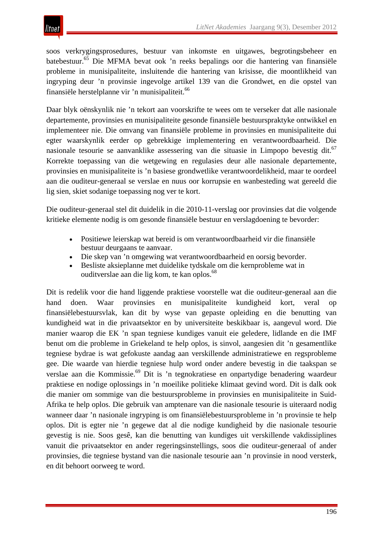soos verkrygingsprosedures, bestuur van inkomste en uitgawes, begrotingsbeheer en batebestuur.65 Die MFMA bevat ook 'n reeks bepalings oor die hantering van finansiële probleme in munisipaliteite, insluitende die hantering van krisisse, die moontlikheid van ingryping deur 'n provinsie ingevolge artikel 139 van die Grondwet, en die opstel van finansiële herstelplanne vir 'n munisipaliteit.<sup>66</sup>

Daar blyk oënskynlik nie 'n tekort aan voorskrifte te wees om te verseker dat alle nasionale departemente, provinsies en munisipaliteite gesonde finansiële bestuurspraktyke ontwikkel en implementeer nie. Die omvang van finansiële probleme in provinsies en munisipaliteite dui egter waarskynlik eerder op gebrekkige implementering en verantwoordbaarheid. Die nasionale tesourie se aanvanklike assessering van die situasie in Limpopo bevestig dit.<sup>67</sup> Korrekte toepassing van die wetgewing en regulasies deur alle nasionale departemente, provinsies en munisipaliteite is 'n basiese grondwetlike verantwoordelikheid, maar te oordeel aan die ouditeur-generaal se verslae en nuus oor korrupsie en wanbesteding wat gereeld die lig sien, skiet sodanige toepassing nog ver te kort.

Die ouditeur-generaal stel dit duidelik in die 2010-11-verslag oor provinsies dat die volgende kritieke elemente nodig is om gesonde finansiële bestuur en verslagdoening te bevorder:

- Positiewe leierskap wat bereid is om verantwoordbaarheid vir die finansiële bestuur deurgaans te aanvaar.
- Die skep van 'n omgewing wat verantwoordbaarheid en oorsig bevorder.
- Besliste aksieplanne met duidelike tydskale om die kernprobleme wat in ouditverslae aan die lig kom, te kan oplos.<sup>68</sup>

Dit is redelik voor die hand liggende praktiese voorstelle wat die ouditeur-generaal aan die hand doen. Waar provinsies en munisipaliteite kundigheid kort, veral op finansiëlebestuursvlak, kan dit by wyse van gepaste opleiding en die benutting van kundigheid wat in die privaatsektor en by universiteite beskikbaar is, aangevul word. Die manier waarop die EK 'n span tegniese kundiges vanuit eie geledere, lidlande en die IMF benut om die probleme in Griekeland te help oplos, is sinvol, aangesien dit 'n gesamentlike tegniese bydrae is wat gefokuste aandag aan verskillende administratiewe en regsprobleme gee. Die waarde van hierdie tegniese hulp word onder andere bevestig in die taakspan se verslae aan die Kommissie.69 Dit is 'n tegnokratiese en onpartydige benadering waardeur praktiese en nodige oplossings in 'n moeilike politieke klimaat gevind word. Dit is dalk ook die manier om sommige van die bestuursprobleme in provinsies en munisipaliteite in Suid-Afrika te help oplos. Die gebruik van amptenare van die nasionale tesourie is uiteraard nodig wanneer daar 'n nasionale ingryping is om finansiëlebestuursprobleme in 'n provinsie te help oplos. Dit is egter nie 'n gegewe dat al die nodige kundigheid by die nasionale tesourie gevestig is nie. Soos gesê, kan die benutting van kundiges uit verskillende vakdissiplines vanuit die privaatsektor en ander regeringsinstellings, soos die ouditeur-generaal of ander provinsies, die tegniese bystand van die nasionale tesourie aan 'n provinsie in nood versterk, en dit behoort oorweeg te word.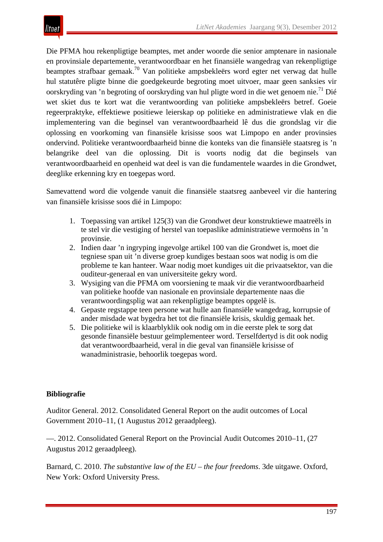

Die PFMA hou rekenpligtige beamptes, met ander woorde die senior amptenare in nasionale en provinsiale departemente, verantwoordbaar en het finansiële wangedrag van rekenpligtige beamptes strafbaar gemaak.70 Van politieke ampsbekleërs word egter net verwag dat hulle hul statutêre pligte binne die goedgekeurde begroting moet uitvoer, maar geen sanksies vir oorskryding van 'n begroting of oorskryding van hul pligte word in die wet genoem nie.<sup>71</sup> Dié wet skiet dus te kort wat die verantwoording van politieke ampsbekleërs betref. Goeie regeerpraktyke, effektiewe positiewe leierskap op politieke en administratiewe vlak en die implementering van die beginsel van verantwoordbaarheid lê dus die grondslag vir die oplossing en voorkoming van finansiële krisisse soos wat Limpopo en ander provinsies ondervind. Politieke verantwoordbaarheid binne die konteks van die finansiële staatsreg is 'n belangrike deel van die oplossing. Dit is voorts nodig dat die beginsels van verantwoordbaarheid en openheid wat deel is van die fundamentele waardes in die Grondwet, deeglike erkenning kry en toegepas word.

Samevattend word die volgende vanuit die finansiële staatsreg aanbeveel vir die hantering van finansiële krisisse soos dié in Limpopo:

- 1. Toepassing van artikel 125(3) van die Grondwet deur konstruktiewe maatreëls in te stel vir die vestiging of herstel van toepaslike administratiewe vermoëns in 'n provinsie.
- 2. Indien daar 'n ingryping ingevolge artikel 100 van die Grondwet is, moet die tegniese span uit 'n diverse groep kundiges bestaan soos wat nodig is om die probleme te kan hanteer. Waar nodig moet kundiges uit die privaatsektor, van die ouditeur-generaal en van universiteite gekry word.
- 3. Wysiging van die PFMA om voorsiening te maak vir die verantwoordbaarheid van politieke hoofde van nasionale en provinsiale departemente naas die verantwoordingsplig wat aan rekenpligtige beamptes opgelê is.
- 4. Gepaste regstappe teen persone wat hulle aan finansiële wangedrag, korrupsie of ander misdade wat bygedra het tot die finansiële krisis, skuldig gemaak het.
- 5. Die politieke wil is klaarblyklik ook nodig om in die eerste plek te sorg dat gesonde finansiële bestuur geïmplementeer word. Terselfdertyd is dit ook nodig dat verantwoordbaarheid, veral in die geval van finansiële krisisse of wanadministrasie, behoorlik toegepas word.

#### **Bibliografie**

Auditor General. 2012. Consolidated General Report on the audit outcomes of Local Government 2010–11, (1 Augustus 2012 geraadpleeg).

—. 2012. Consolidated General Report on the Provincial Audit Outcomes 2010–11, (27 Augustus 2012 geraadpleeg).

Barnard, C. 2010. *The substantive law of the EU – the four freedoms*. 3de uitgawe. Oxford, New York: Oxford University Press.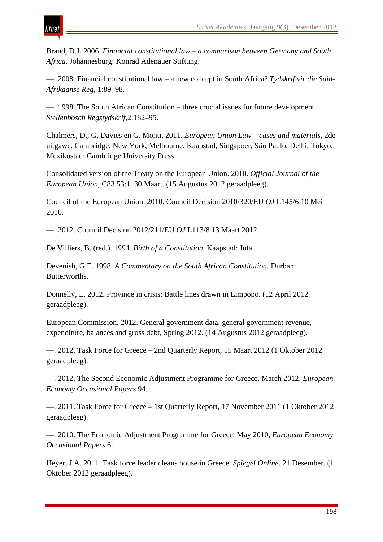

Brand, D.J. 2006. *Financial constitutional law – a comparison between Germany and South Africa.* Johannesburg: Konrad Adenauer Stiftung.

—. 2008. Financial constitutional law – a new concept in South Africa? *Tydskrif vir die Suid-Afrikaanse Reg*, 1:89–98.

—. 1998. The South African Constitution – three crucial issues for future development. *Stellenbosch Regstydskrif*,2:182–95.

Chalmers, D., G. Davies en G. Monti. 2011. *European Union Law – cases and materials*, 2de uitgawe. Cambridge, New York, Melbourne, Kaapstad, Singapoer, S*ã*o Paulo, Delhi, Tokyo, Mexikostad: Cambridge University Press.

Consolidated version of the Treaty on the European Union. 2010. *Official Journal of the European Union*, C83 53:1. 30 Maart. (15 Augustus 2012 geraadpleeg).

Council of the European Union. 2010. Council Decision 2010/320/EU *OJ* L145/6 10 Mei 2010.

—. 2012. Council Decision 2012/211/EU *OJ* L113/8 13 Maart 2012.

De Villiers, B. (red.). 1994. *Birth of a Constitution.* Kaapstad: Juta.

Devenish, G.E. 1998. *A Commentary on the South African Constitution*. Durban: Butterworths.

Donnelly, L. 2012. Province in crisis: Battle lines drawn in Limpopo. (12 April 2012 geraadpleeg).

European Commission. 2012. General government data, general government revenue, expenditure, balances and gross debt, Spring 2012. (14 Augustus 2012 geraadpleeg).

—. 2012. Task Force for Greece – 2nd Quarterly Report, 15 Maart 2012 (1 Oktober 2012 geraadpleeg).

—. 2012. The Second Economic Adjustment Programme for Greece. March 2012. *European Economy Occasional Papers* 94.

—. 2011. Task Force for Greece – 1st Quarterly Report, 17 November 2011 (1 Oktober 2012 geraadpleeg).

—. 2010. The Economic Adjustment Programme for Greece, May 2010, *European Economy Occasional Papers* 61.

Heyer, J.A. 2011. Task force leader cleans house in Greece. *Spiegel Online*. 21 Desember. (1 Oktober 2012 geraadpleeg).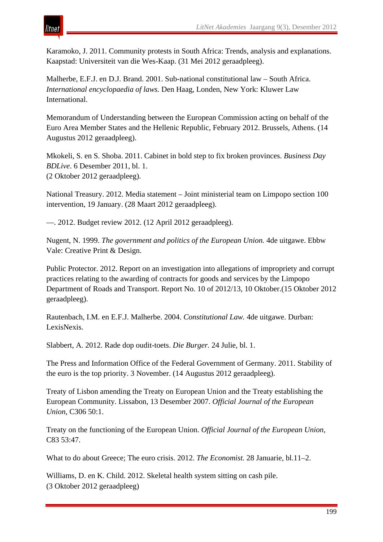

# tnei

Karamoko, J. 2011. Community protests in South Africa: Trends, analysis and explanations. Kaapstad: Universiteit van die Wes-Kaap. (31 Mei 2012 geraadpleeg).

Malherbe, E.F.J. en D.J. Brand. 2001. Sub-national constitutional law – South Africa. *International encyclopaedia of laws.* Den Haag, Londen, New York: Kluwer Law International.

Memorandum of Understanding between the European Commission acting on behalf of the Euro Area Member States and the Hellenic Republic, February 2012. Brussels, Athens. (14 Augustus 2012 geraadpleeg).

Mkokeli, S. en S. Shoba. 2011. Cabinet in bold step to fix broken provinces. *Business Day BDLive*. 6 Desember 2011, bl. 1. (2 Oktober 2012 geraadpleeg).

National Treasury. 2012. Media statement – Joint ministerial team on Limpopo section 100 intervention, 19 January. (28 Maart 2012 geraadpleeg).

—. 2012. Budget review 2012. (12 April 2012 geraadpleeg).

Nugent, N. 1999. *The government and politics of the European Union.* 4de uitgawe. Ebbw Vale: Creative Print & Design.

Public Protector. 2012. Report on an investigation into allegations of impropriety and corrupt practices relating to the awarding of contracts for goods and services by the Limpopo Department of Roads and Transport. Report No. 10 of 2012/13, 10 Oktober.(15 Oktober 2012 geraadpleeg).

Rautenbach, I.M. en E.F.J. Malherbe. 2004. *Constitutional Law.* 4de uitgawe. Durban: LexisNexis.

Slabbert, A. 2012. Rade dop oudit-toets. *Die Burger.* 24 Julie, bl. 1.

The Press and Information Office of the Federal Government of Germany. 2011. Stability of the euro is the top priority. 3 November. (14 Augustus 2012 geraadpleeg).

Treaty of Lisbon amending the Treaty on European Union and the Treaty establishing the European Community. Lissabon, 13 Desember 2007. *Official Journal of the European Union*, C306 50:1.

Treaty on the functioning of the European Union. *Official Journal of the European Union*, C83 53:47.

What to do about Greece; The euro crisis. 2012. *The Economist.* 28 Januarie, bl.11–2.

Williams, D. en K. Child. 2012. Skeletal health system sitting on cash pile. (3 Oktober 2012 geraadpleeg)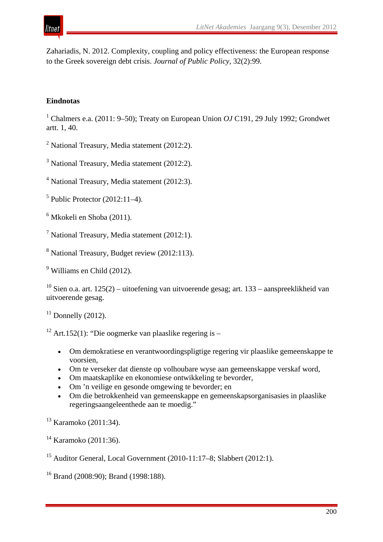

Zahariadis, N. 2012. Complexity, coupling and policy effectiveness: the European response to the Greek sovereign debt crisis. *Journal of Public Policy,* 32(2):99.

#### **Eindnotas**

<sup>1</sup> Chalmers e.a. (2011: 9–50); Treaty on European Union *OJ* C191, 29 July 1992; Grondwet artt. 1, 40.

 $2$  National Treasury, Media statement (2012:2).

 $3$  National Treasury, Media statement (2012:2).

<sup>4</sup> National Treasury, Media statement (2012:3).

 $<sup>5</sup>$  Public Protector (2012:11–4).</sup>

<sup>6</sup> Mkokeli en Shoba (2011).

<sup>7</sup> National Treasury, Media statement  $(2012:1)$ .

<sup>8</sup> National Treasury, Budget review (2012:113).

<sup>9</sup> Williams en Child (2012).

<sup>10</sup> Sien o.a. art. 125(2) – uitoefening van uitvoerende gesag; art. 133 – aanspreeklikheid van uitvoerende gesag.

 $11$  Donnelly (2012).

<sup>12</sup> Art.152(1): "Die oogmerke van plaaslike regering is –

- Om demokratiese en verantwoordingspligtige regering vir plaaslike gemeenskappe te voorsien,
- Om te verseker dat dienste op volhoubare wyse aan gemeenskappe verskaf word,
- Om maatskaplike en ekonomiese ontwikkeling te bevorder,
- Om 'n veilige en gesonde omgewing te bevorder; en
- Om die betrokkenheid van gemeenskappe en gemeenskapsorganisasies in plaaslike regeringsaangeleenthede aan te moedig."

<sup>13</sup> Karamoko (2011:34).

<sup>14</sup> Karamoko (2011:36).

<sup>15</sup> Auditor General, Local Government (2010-11:17–8; Slabbert (2012:1).

<sup>16</sup> Brand (2008:90); Brand (1998:188).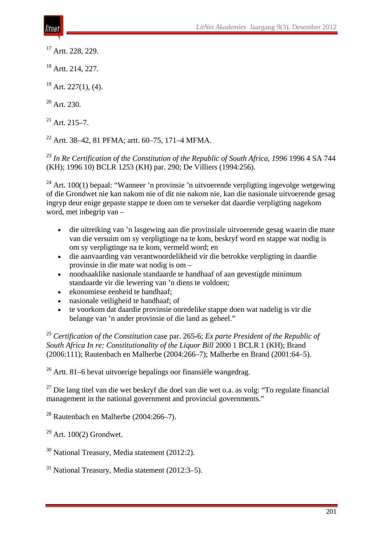<sup>17</sup> Artt. 228, 229.

<sup>18</sup> Artt. 214, 227.

 $19$  Art. 227(1), (4).

 $20$  Art. 230.

 $21$  Art. 215–7.

<sup>22</sup> Artt. 38–42, 81 PFMA; artt. 60–75, 171–4 MFMA.

<sup>23</sup> *In Re Certification of the Constitution of the Republic of South Africa*, *1996* 1996 4 SA 744 (KH); 1996 10) BCLR 1253 (KH) par. 290; De Villiers (1994:256).

 $24$  Art. 100(1) bepaal: "Wanneer 'n provinsie 'n uitvoerende verpligting ingevolge wetgewing of die Grondwet nie kan nakom nie of dit nie nakom nie, kan die nasionale uitvoerende gesag ingryp deur enige gepaste stappe te doen om te verseker dat daardie verpligting nagekom word, met inbegrip van –

- die uitreiking van 'n lasgewing aan die provinsiale uitvoerende gesag waarin die mate van die versuim om sy verpligtinge na te kom, beskryf word en stappe wat nodig is om sy verpligtinge na te kom, vermeld word; en
- die aanvaarding van verantwoordelikheid vir die betrokke verpligting in daardie provinsie in die mate wat nodig is om –
- noodsaaklike nasionale standaarde te handhaaf of aan gevestigde minimum standaarde vir die lewering van 'n diens te voldoen;
- ekonomiese eenheid te handhaaf;
- nasionale veiligheid te handhaaf; of
- te voorkom dat daardie provinsie onredelike stappe doen wat nadelig is vir die belange van 'n ander provinsie of die land as geheel."

<sup>25</sup> *Certification of the Constitution* case par. 265-6; *Ex parte President of the Republic of South Africa In re: Constitutionality of the Liquor Bill* 2000 1 BCLR 1 (KH); Brand (2006:111); Rautenbach en Malherbe (2004:266–7); Malherbe en Brand (2001:64–5).

 $26$  Artt. 81–6 bevat uitvoerige bepalings oor finansiële wangedrag.

<sup>27</sup> Die lang titel van die wet beskryf die doel van die wet o.a. as volg: "To regulate financial management in the national government and provincial governments."

 $28$  Rautenbach en Malherbe (2004:266–7).

 $29$  Art. 100(2) Grondwet.

<sup>30</sup> National Treasury, Media statement (2012:2).

 $31$  National Treasury, Media statement (2012:3–5).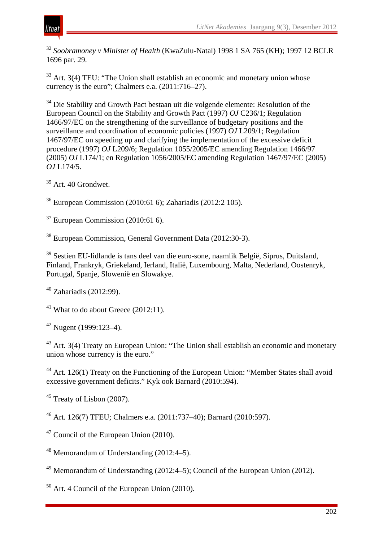

<sup>32</sup> *Soobramoney v Minister of Health* (KwaZulu-Natal) 1998 1 SA 765 (KH); 1997 12 BCLR 1696 par. 29.

 $33$  Art. 3(4) TEU: "The Union shall establish an economic and monetary union whose currency is the euro"; Chalmers e.a. (2011:716–27).

<sup>34</sup> Die Stability and Growth Pact bestaan uit die volgende elemente: Resolution of the European Council on the Stability and Growth Pact (1997) *OJ* C236/1; Regulation 1466/97/EC on the strengthening of the surveillance of budgetary positions and the surveillance and coordination of economic policies (1997) *OJ* L209/1; Regulation 1467/97/EC on speeding up and clarifying the implementation of the excessive deficit procedure (1997) *OJ* L209/6; Regulation 1055/2005/EC amending Regulation 1466/97 (2005) *OJ* L174/1; en Regulation 1056/2005/EC amending Regulation 1467/97/EC (2005) *OJ* L174/5.

<sup>35</sup> Art. 40 Grondwet.

<sup>36</sup> European Commission (2010:61 6); Zahariadis (2012:2 105).

 $37$  European Commission (2010:61 6).

<sup>38</sup> European Commission, General Government Data (2012:30-3).

<sup>39</sup> Sestien EU-lidlande is tans deel van die euro-sone, naamlik België, Siprus, Duitsland, Finland, Frankryk, Griekeland, Ierland, Italië, Luxembourg, Malta, Nederland, Oostenryk, Portugal, Spanje, Slowenië en Slowakye.

<sup>40</sup> Zahariadis (2012:99).

<sup>41</sup> What to do about Greece  $(2012:11)$ .

 $42$  Nugent (1999:123–4).

<sup>43</sup> Art. 3(4) Treaty on European Union: "The Union shall establish an economic and monetary union whose currency is the euro."

<sup>44</sup> Art. 126(1) Treaty on the Functioning of the European Union: "Member States shall avoid excessive government deficits." Kyk ook Barnard (2010:594).

<sup>45</sup> Treaty of Lisbon (2007).

<sup>46</sup> Art. 126(7) TFEU; Chalmers e.a. (2011:737–40); Barnard (2010:597).

 $47$  Council of the European Union (2010).

<sup>48</sup> Memorandum of Understanding  $(2012:4-5)$ .

<sup>49</sup> Memorandum of Understanding  $(2012:4-5)$ : Council of the European Union  $(2012)$ .

 $50$  Art. 4 Council of the European Union (2010).